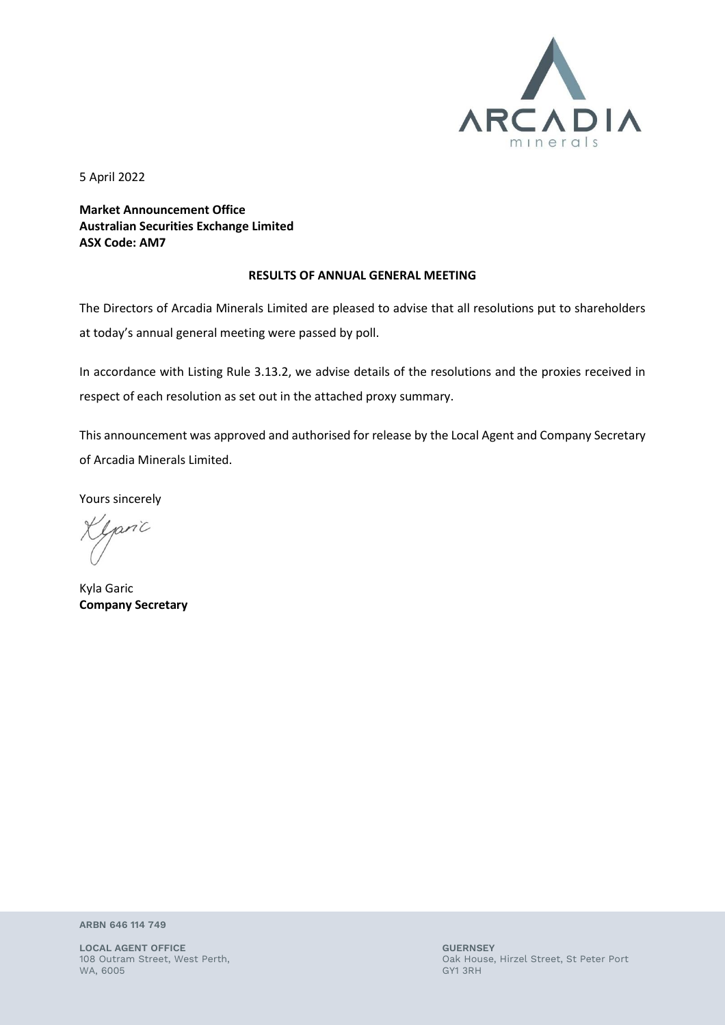

5 April 2022

**Market Announcement Office Australian Securities Exchange Limited ASX Code: AM7**

## **RESULTS OF ANNUAL GENERAL MEETING**

The Directors of Arcadia Minerals Limited are pleased to advise that all resolutions put to shareholders at today's annual general meeting were passed by poll.

In accordance with Listing Rule 3.13.2, we advise details of the resolutions and the proxies received in respect of each resolution as set out in the attached proxy summary.

This announcement was approved and authorised for release by the Local Agent and Company Secretary of Arcadia Minerals Limited.

Yours sincerely

paric

Kyla Garic **Company Secretary**

**ARBN 646 114 749**

**LOCAL AGENT OFFICE GUERNSEY** WA, 6005